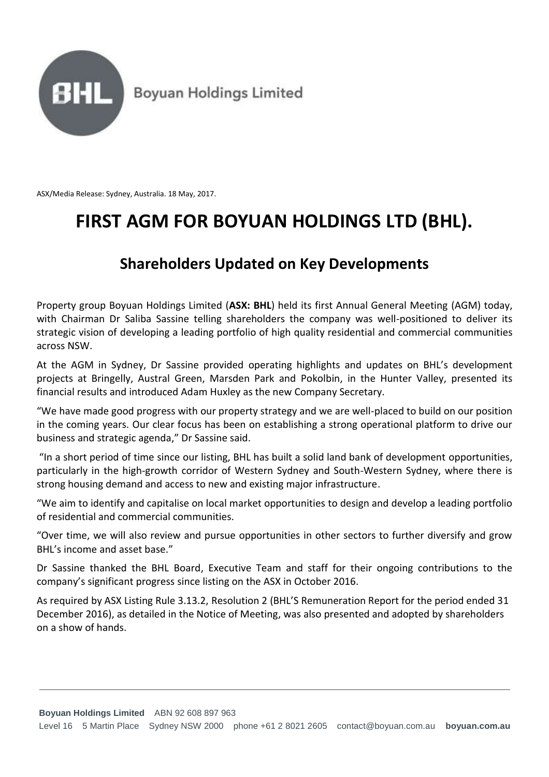

ASX/Media Release: Sydney, Australia. 18 May, 2017.

## **FIRST AGM FOR BOYUAN HOLDINGS LTD (BHL).**

## **Shareholders Updated on Key Developments**

Property group Boyuan Holdings Limited (**ASX: BHL**) held its first Annual General Meeting (AGM) today, with Chairman Dr Saliba Sassine telling shareholders the company was well-positioned to deliver its strategic vision of developing a leading portfolio of high quality residential and commercial communities across NSW.

At the AGM in Sydney, Dr Sassine provided operating highlights and updates on BHL's development projects at Bringelly, Austral Green, Marsden Park and Pokolbin, in the Hunter Valley, presented its financial results and introduced Adam Huxley as the new Company Secretary.

"We have made good progress with our property strategy and we are well-placed to build on our position in the coming years. Our clear focus has been on establishing a strong operational platform to drive our business and strategic agenda," Dr Sassine said.

"In a short period of time since our listing, BHL has built a solid land bank of development opportunities, particularly in the high-growth corridor of Western Sydney and South-Western Sydney, where there is strong housing demand and access to new and existing major infrastructure.

"We aim to identify and capitalise on local market opportunities to design and develop a leading portfolio of residential and commercial communities.

"Over time, we will also review and pursue opportunities in other sectors to further diversify and grow BHL's income and asset base."

Dr Sassine thanked the BHL Board, Executive Team and staff for their ongoing contributions to the company's significant progress since listing on the ASX in October 2016.

As required by ASX Listing Rule 3.13.2, Resolution 2 (BHL'S Remuneration Report for the period ended 31 December 2016), as detailed in the Notice of Meeting, was also presented and adopted by shareholders on a show of hands.